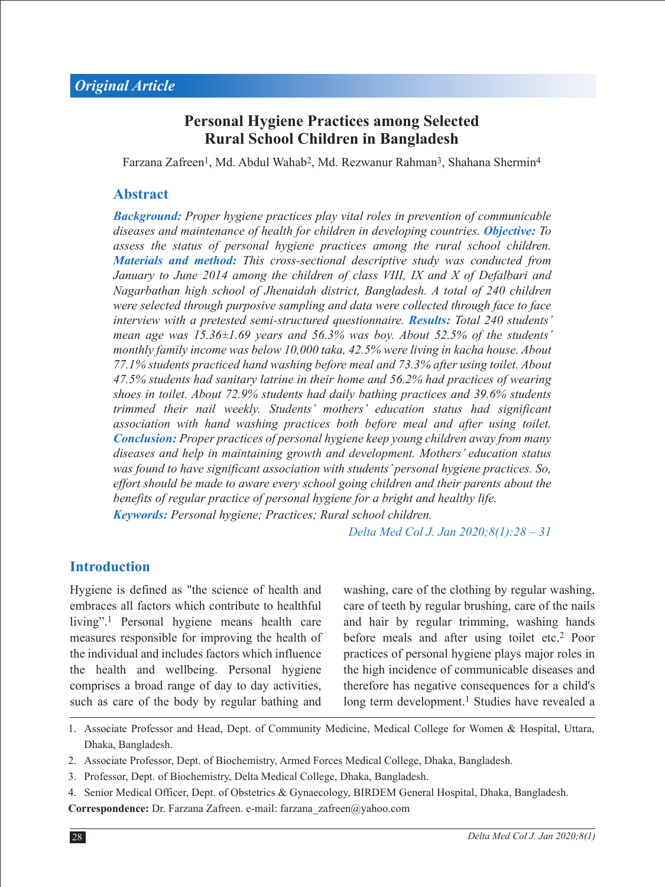# **Personal Hygiene Practices among Selected Rural School Children in Bangladesh**

Farzana Zafreen<sup>1</sup>, Md. Abdul Wahab<sup>2</sup>, Md. Rezwanur Rahman<sup>3</sup>, Shahana Shermin<sup>4</sup>

#### **Abstract**

*Background: Proper hygiene practices play vital roles in prevention of communicable diseases and maintenance of health for children in developing countries. Objective: To assess the status of personal hygiene practices among the rural school children. Materials and method: This cross-sectional descriptive study was conducted from January to June 2014 among the children of class VIII, IX and X of Defalbari and Nagarbathan high school of Jhenaidah district, Bangladesh. A total of 240 children were selected through purposive sampling and data were collected through face to face interview with a pretested semi-structured questionnaire. Results: Total 240 students' mean age was 15.36±1.69 years and 56.3% was boy. About 52.5% of the students' monthly family income was below 10,000 taka, 42.5% were living in kacha house. About 77.1% students practiced hand washing before meal and 73.3% after using toilet. About 47.5% students had sanitary latrine in their home and 56.2% had practices of wearing shoes in toilet. About 72.9% students had daily bathing practices and 39.6% students trimmed their nail weekly. Students' mothers' education status had significant association with hand washing practices both before meal and after using toilet. Conclusion: Proper practices of personal hygiene keep young children away from many diseases and help in maintaining growth and development. Mothers' education status was found to have significant association with students' personal hygiene practices. So, effort should be made to aware every school going children and their parents about the benefits of regular practice of personal hygiene for a bright and healthy life. Keywords: Personal hygiene; Practices; Rural school children.* 

*Delta Med Col J. Jan 2020;8(1):28 – 31*

#### **Introduction**

Hygiene is defined as "the science of health and embraces all factors which contribute to healthful living".1 Personal hygiene means health care measures responsible for improving the health of the individual and includes factors which influence the health and wellbeing. Personal hygiene comprises a broad range of day to day activities, such as care of the body by regular bathing and

washing, care of the clothing by regular washing, care of teeth by regular brushing, care of the nails and hair by regular trimming, washing hands before meals and after using toilet etc.2 Poor practices of personal hygiene plays major roles in the high incidence of communicable diseases and therefore has negative consequences for a child's long term development.<sup>1</sup> Studies have revealed a

- 1. Associate Professor and Head, Dept. of Community Medicine, Medical College for Women & Hospital, Uttara, Dhaka, Bangladesh.
- 2. Associate Professor, Dept. of Biochemistry, Armed Forces Medical College, Dhaka, Bangladesh.
- 3. Professor, Dept. of Biochemistry, Delta Medical College, Dhaka, Bangladesh.
- 4. Senior Medical Officer, Dept. of Obstetrics & Gynaecology, BIRDEM General Hospital, Dhaka, Bangladesh. **Correspondence:** Dr. Farzana Zafreen. e-mail: farzana\_zafreen@yahoo.com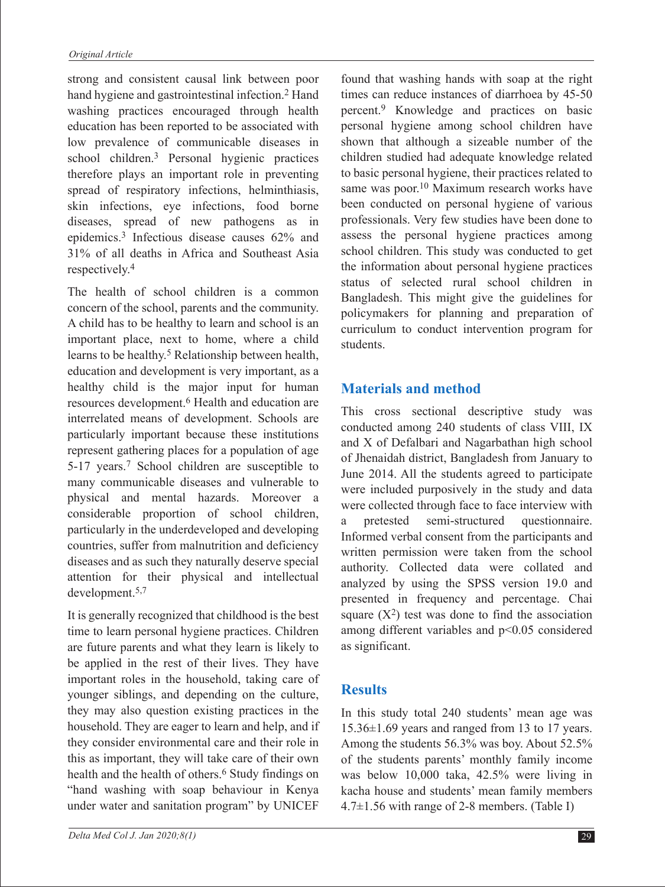strong and consistent causal link between poor hand hygiene and gastrointestinal infection.<sup>2</sup> Hand washing practices encouraged through health education has been reported to be associated with low prevalence of communicable diseases in school children.3 Personal hygienic practices therefore plays an important role in preventing spread of respiratory infections, helminthiasis, skin infections, eye infections, food borne diseases, spread of new pathogens as in epidemics.3 Infectious disease causes 62% and 31% of all deaths in Africa and Southeast Asia respectively.4

The health of school children is a common concern of the school, parents and the community. A child has to be healthy to learn and school is an important place, next to home, where a child learns to be healthy.5 Relationship between health, education and development is very important, as a healthy child is the major input for human resources development.6 Health and education are interrelated means of development. Schools are particularly important because these institutions represent gathering places for a population of age 5-17 years.7 School children are susceptible to many communicable diseases and vulnerable to physical and mental hazards. Moreover a considerable proportion of school children, particularly in the underdeveloped and developing countries, suffer from malnutrition and deficiency diseases and as such they naturally deserve special attention for their physical and intellectual development.5,7

It is generally recognized that childhood is the best time to learn personal hygiene practices. Children are future parents and what they learn is likely to be applied in the rest of their lives. They have important roles in the household, taking care of younger siblings, and depending on the culture, they may also question existing practices in the household. They are eager to learn and help, and if they consider environmental care and their role in this as important, they will take care of their own health and the health of others.<sup>6</sup> Study findings on "hand washing with soap behaviour in Kenya under water and sanitation program" by UNICEF

found that washing hands with soap at the right times can reduce instances of diarrhoea by 45-50 percent.9 Knowledge and practices on basic personal hygiene among school children have shown that although a sizeable number of the children studied had adequate knowledge related to basic personal hygiene, their practices related to same was poor.<sup>10</sup> Maximum research works have been conducted on personal hygiene of various professionals. Very few studies have been done to assess the personal hygiene practices among school children. This study was conducted to get the information about personal hygiene practices status of selected rural school children in Bangladesh. This might give the guidelines for policymakers for planning and preparation of curriculum to conduct intervention program for students.

## **Materials and method**

This cross sectional descriptive study was conducted among 240 students of class VIII, IX and X of Defalbari and Nagarbathan high school of Jhenaidah district, Bangladesh from January to June 2014. All the students agreed to participate were included purposively in the study and data were collected through face to face interview with a pretested semi-structured questionnaire. Informed verbal consent from the participants and written permission were taken from the school authority. Collected data were collated and analyzed by using the SPSS version 19.0 and presented in frequency and percentage. Chai square  $(X^2)$  test was done to find the association among different variables and p<0.05 considered as significant.

## **Results**

In this study total 240 students' mean age was 15.36±1.69 years and ranged from 13 to 17 years. Among the students 56.3% was boy. About 52.5% of the students parents' monthly family income was below 10,000 taka, 42.5% were living in kacha house and students' mean family members 4.7±1.56 with range of 2-8 members. (Table I)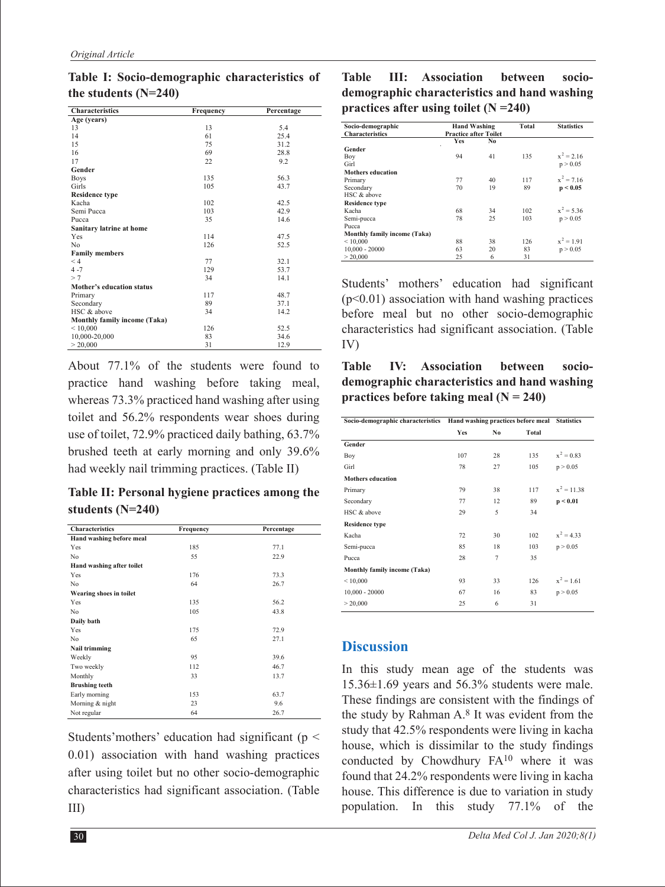| Characteristics              | Frequency | Percentage |  |
|------------------------------|-----------|------------|--|
| Age (years)                  |           |            |  |
| 13                           | 13        | 5.4        |  |
| 14                           | 61        | 25.4       |  |
| 15                           | 75        | 31.2       |  |
| 16                           | 69        | 28.8       |  |
| 17                           | 22        | 9.2        |  |
| Gender                       |           |            |  |
| <b>Boys</b>                  | 135       | 56.3       |  |
| Girls                        | 105       | 437        |  |
| <b>Residence type</b>        |           |            |  |
| Kacha                        | 102       | 42.5       |  |
| Semi Pucca                   | 103       | 42.9       |  |
| Pucca                        | 35        | 14.6       |  |
| Sanitary latrine at home     |           |            |  |
| Yes                          | 114       | 47.5       |  |
| N <sub>o</sub>               | 126       | 52.5       |  |
| <b>Family members</b>        |           |            |  |
| < 4                          | 77        | 32.1       |  |
| $4 - 7$                      | 129       | 53.7       |  |
| >7                           | 34        | 14.1       |  |
| Mother's education status    |           |            |  |
| Primary                      | 117       | 48.7       |  |
| Secondary                    | 89        | 37.1       |  |
| HSC & above                  | 34        | 14.2       |  |
| Monthly family income (Taka) |           |            |  |
| ${}_{\leq 10,000}$           | 126       | 52.5       |  |
| 10,000-20,000                | 83        | 34.6       |  |
| > 20,000                     | 31        | 12.9       |  |

**Table I: Socio-demographic characteristics of the students (N=240)**

About 77.1% of the students were found to practice hand washing before taking meal, whereas 73.3% practiced hand washing after using toilet and 56.2% respondents wear shoes during use of toilet, 72.9% practiced daily bathing, 63.7% brushed teeth at early morning and only 39.6% had weekly nail trimming practices. (Table II)

**Table II: Personal hygiene practices among the students (N=240)**

| Characteristics           | Frequency | Percentage |  |
|---------------------------|-----------|------------|--|
| Hand washing before meal  |           |            |  |
| Yes                       | 185       | 77.1       |  |
| N <sub>o</sub>            | 55        | 22.9       |  |
| Hand washing after toilet |           |            |  |
| Yes                       | 176       | 73.3       |  |
| No                        | 64        | 26.7       |  |
| Wearing shoes in toilet   |           |            |  |
| Yes                       | 135       | 56.2       |  |
| N <sub>o</sub>            | 105       | 43.8       |  |
| Daily bath                |           |            |  |
| Yes                       | 175       | 72.9       |  |
| N <sub>o</sub>            | 65        | 27.1       |  |
| Nail trimming             |           |            |  |
| Weekly                    | 95        | 39.6       |  |
| Two weekly                | 112       | 46.7       |  |
| Monthly                   | 33        | 13.7       |  |
| <b>Brushing teeth</b>     |           |            |  |
| Early morning             | 153       | 63.7       |  |
| Morning & night           | 23        | 9.6        |  |
| Not regular               | 64        | 26.7       |  |

Students' mothers' education had significant ( $p <$ 0.01) association with hand washing practices after using toilet but no other socio-demographic characteristics had significant association. (Table III)

**Table III: Association between sociodemographic characteristics and hand washing practices after using toilet (N =240)**

| Socio-demographic            | <b>Hand Washing</b>          |    | <b>Total</b> | <b>Statistics</b> |
|------------------------------|------------------------------|----|--------------|-------------------|
| <b>Characteristics</b>       | <b>Practice after Toilet</b> |    |              |                   |
|                              | <b>Yes</b>                   | No |              |                   |
| Gender                       |                              |    |              |                   |
| Boy                          | 94                           | 41 | 135          | $x^2 = 2.16$      |
| Girl                         |                              |    |              | p > 0.05          |
| <b>Mothers education</b>     |                              |    |              |                   |
| Primary                      | 77                           | 40 | 117          | $x^2 = 716$       |
| Secondary                    | 70                           | 19 | 89           | p < 0.05          |
| HSC & above                  |                              |    |              |                   |
| <b>Residence type</b>        |                              |    |              |                   |
| Kacha                        | 68                           | 34 | 102          | $x^2 = 5.36$      |
| Semi-pucca                   | 78                           | 25 | 103          | p > 0.05          |
| Pucca                        |                              |    |              |                   |
| Monthly family income (Taka) |                              |    |              |                   |
| < 10,000                     | 88                           | 38 | 126          | $x^2 = 1.91$      |
| $10,000 - 20000$             | 63                           | 20 | 83           | p > 0.05          |
| > 20.000                     | 25                           | 6  | 31           |                   |

Students' mothers' education had significant  $(p<0.01)$  association with hand washing practices before meal but no other socio-demographic characteristics had significant association. (Table IV)

**Table IV: Association between sociodemographic characteristics and hand washing practices before taking meal (N = 240)**

|                              | Socio-demographic characteristics Hand washing practices before meal Statistics |                |       |               |
|------------------------------|---------------------------------------------------------------------------------|----------------|-------|---------------|
|                              | Yes                                                                             | No             | Total |               |
| Gender                       |                                                                                 |                |       |               |
| Boy                          | 107                                                                             | 28             | 135   | $x^2 = 0.83$  |
| Girl                         | 78                                                                              | 27             | 105   | p > 0.05      |
| <b>Mothers education</b>     |                                                                                 |                |       |               |
| Primary                      | 79                                                                              | 38             | 117   | $x^2 = 11.38$ |
| Secondary                    | 77                                                                              | 12             | 89    | p < 0.01      |
| HSC & above                  | 29                                                                              | 5              | 34    |               |
| <b>Residence type</b>        |                                                                                 |                |       |               |
| Kacha                        | 72                                                                              | 30             | 102   | $x^2 = 4.33$  |
| Semi-pucca                   | 85                                                                              | 18             | 103   | p > 0.05      |
| Pucca                        | 28                                                                              | $\overline{7}$ | 35    |               |
| Monthly family income (Taka) |                                                                                 |                |       |               |
| < 10,000                     | 93                                                                              | 33             | 126   | $x^2 = 1.61$  |
| $10,000 - 20000$             | 67                                                                              | 16             | 83    | p > 0.05      |
| > 20,000                     | 25                                                                              | 6              | 31    |               |

## **Discussion**

In this study mean age of the students was 15.36±1.69 years and 56.3% students were male. These findings are consistent with the findings of the study by Rahman A.8 It was evident from the study that 42.5% respondents were living in kacha house, which is dissimilar to the study findings conducted by Chowdhury FA10 where it was found that 24.2% respondents were living in kacha house. This difference is due to variation in study population. In this study 77.1% of the